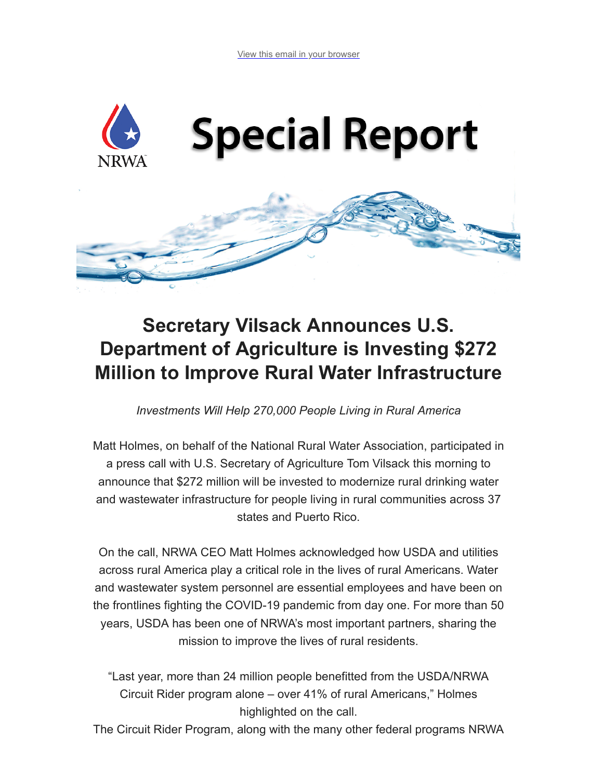

## **Secretary Vilsack Announces U.S. Department of Agriculture is Investing \$272 Million to Improve Rural Water Infrastructure**

*Investments Will Help 270,000 People Living in Rural America*

Matt Holmes, on behalf of the National Rural Water Association, participated in a press call with U.S. Secretary of Agriculture Tom Vilsack this morning to announce that \$272 million will be invested to modernize rural drinking water and wastewater infrastructure for people living in rural communities across 37 states and Puerto Rico.

On the call, NRWA CEO Matt Holmes acknowledged how USDA and utilities across rural America play a critical role in the lives of rural Americans. Water and wastewater system personnel are essential employees and have been on the frontlines fighting the COVID-19 pandemic from day one. For more than 50 years, USDA has been one of NRWA's most important partners, sharing the mission to improve the lives of rural residents.

"Last year, more than 24 million people benefitted from the USDA/NRWA Circuit Rider program alone – over 41% of rural Americans," Holmes highlighted on the call.

The Circuit Rider Program, along with the many other federal programs NRWA